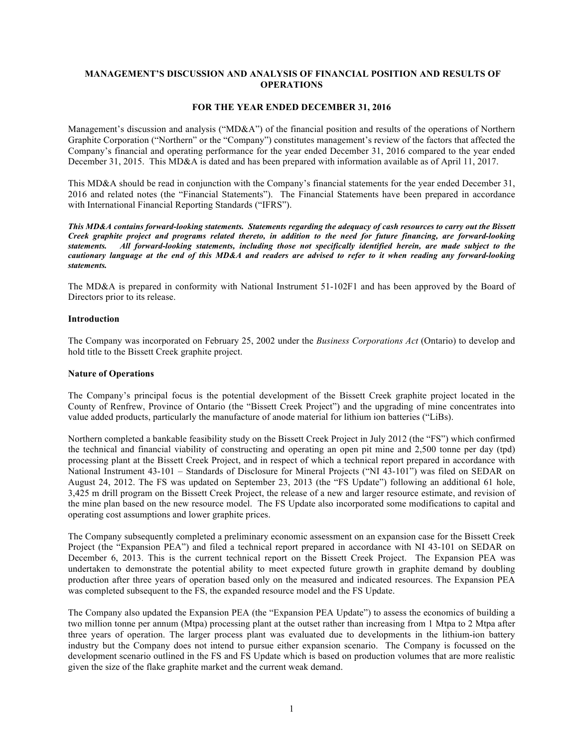### **MANAGEMENT'S DISCUSSION AND ANALYSIS OF FINANCIAL POSITION AND RESULTS OF OPERATIONS**

#### **FOR THE YEAR ENDED DECEMBER 31, 2016**

Management's discussion and analysis ("MD&A") of the financial position and results of the operations of Northern Graphite Corporation ("Northern" or the "Company") constitutes management's review of the factors that affected the Company's financial and operating performance for the year ended December 31, 2016 compared to the year ended December 31, 2015. This MD&A is dated and has been prepared with information available as of April 11, 2017.

This MD&A should be read in conjunction with the Company's financial statements for the year ended December 31, 2016 and related notes (the "Financial Statements"). The Financial Statements have been prepared in accordance with International Financial Reporting Standards ("IFRS").

*This MD&A contains forward-looking statements. Statements regarding the adequacy of cash resources to carry out the Bissett Creek graphite project and programs related thereto, in addition to the need for future financing, are forward-looking statements. All forward-looking statements, including those not specifically identified herein, are made subject to the cautionary language at the end of this MD&A and readers are advised to refer to it when reading any forward-looking statements.*

The MD&A is prepared in conformity with National Instrument 51-102F1 and has been approved by the Board of Directors prior to its release.

#### **Introduction**

The Company was incorporated on February 25, 2002 under the *Business Corporations Act* (Ontario) to develop and hold title to the Bissett Creek graphite project.

### **Nature of Operations**

The Company's principal focus is the potential development of the Bissett Creek graphite project located in the County of Renfrew, Province of Ontario (the "Bissett Creek Project") and the upgrading of mine concentrates into value added products, particularly the manufacture of anode material for lithium ion batteries ("LiBs).

Northern completed a bankable feasibility study on the Bissett Creek Project in July 2012 (the "FS") which confirmed the technical and financial viability of constructing and operating an open pit mine and 2,500 tonne per day (tpd) processing plant at the Bissett Creek Project, and in respect of which a technical report prepared in accordance with National Instrument 43-101 – Standards of Disclosure for Mineral Projects ("NI 43-101") was filed on SEDAR on August 24, 2012. The FS was updated on September 23, 2013 (the "FS Update") following an additional 61 hole, 3,425 m drill program on the Bissett Creek Project, the release of a new and larger resource estimate, and revision of the mine plan based on the new resource model. The FS Update also incorporated some modifications to capital and operating cost assumptions and lower graphite prices.

The Company subsequently completed a preliminary economic assessment on an expansion case for the Bissett Creek Project (the "Expansion PEA") and filed a technical report prepared in accordance with NI 43-101 on SEDAR on December 6, 2013. This is the current technical report on the Bissett Creek Project. The Expansion PEA was undertaken to demonstrate the potential ability to meet expected future growth in graphite demand by doubling production after three years of operation based only on the measured and indicated resources. The Expansion PEA was completed subsequent to the FS, the expanded resource model and the FS Update.

The Company also updated the Expansion PEA (the "Expansion PEA Update") to assess the economics of building a two million tonne per annum (Mtpa) processing plant at the outset rather than increasing from 1 Mtpa to 2 Mtpa after three years of operation. The larger process plant was evaluated due to developments in the lithium-ion battery industry but the Company does not intend to pursue either expansion scenario. The Company is focussed on the development scenario outlined in the FS and FS Update which is based on production volumes that are more realistic given the size of the flake graphite market and the current weak demand.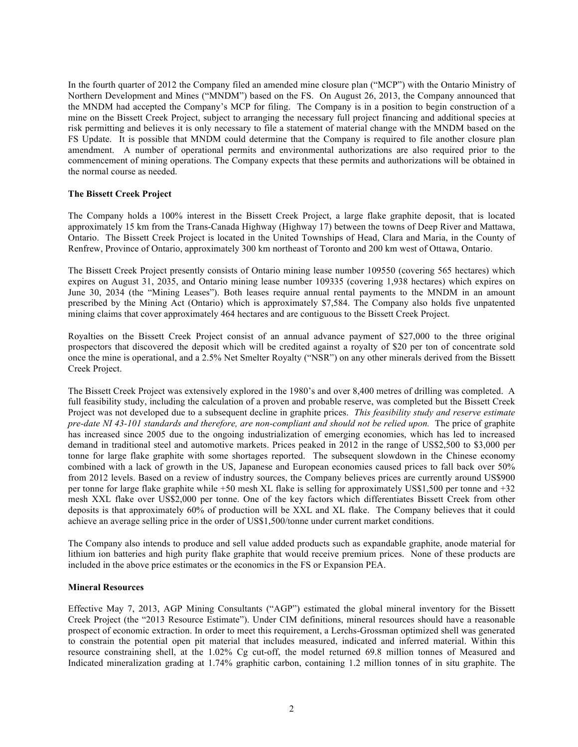In the fourth quarter of 2012 the Company filed an amended mine closure plan ("MCP") with the Ontario Ministry of Northern Development and Mines ("MNDM") based on the FS. On August 26, 2013, the Company announced that the MNDM had accepted the Company's MCP for filing. The Company is in a position to begin construction of a mine on the Bissett Creek Project, subject to arranging the necessary full project financing and additional species at risk permitting and believes it is only necessary to file a statement of material change with the MNDM based on the FS Update. It is possible that MNDM could determine that the Company is required to file another closure plan amendment. A number of operational permits and environmental authorizations are also required prior to the commencement of mining operations. The Company expects that these permits and authorizations will be obtained in the normal course as needed.

#### **The Bissett Creek Project**

The Company holds a 100% interest in the Bissett Creek Project, a large flake graphite deposit, that is located approximately 15 km from the Trans-Canada Highway (Highway 17) between the towns of Deep River and Mattawa, Ontario. The Bissett Creek Project is located in the United Townships of Head, Clara and Maria, in the County of Renfrew, Province of Ontario, approximately 300 km northeast of Toronto and 200 km west of Ottawa, Ontario.

The Bissett Creek Project presently consists of Ontario mining lease number 109550 (covering 565 hectares) which expires on August 31, 2035, and Ontario mining lease number 109335 (covering 1,938 hectares) which expires on June 30, 2034 (the "Mining Leases"). Both leases require annual rental payments to the MNDM in an amount prescribed by the Mining Act (Ontario) which is approximately \$7,584. The Company also holds five unpatented mining claims that cover approximately 464 hectares and are contiguous to the Bissett Creek Project.

Royalties on the Bissett Creek Project consist of an annual advance payment of \$27,000 to the three original prospectors that discovered the deposit which will be credited against a royalty of \$20 per ton of concentrate sold once the mine is operational, and a 2.5% Net Smelter Royalty ("NSR") on any other minerals derived from the Bissett Creek Project.

The Bissett Creek Project was extensively explored in the 1980's and over 8,400 metres of drilling was completed. A full feasibility study, including the calculation of a proven and probable reserve, was completed but the Bissett Creek Project was not developed due to a subsequent decline in graphite prices. *This feasibility study and reserve estimate pre-date NI 43-101 standards and therefore, are non-compliant and should not be relied upon.* The price of graphite has increased since 2005 due to the ongoing industrialization of emerging economies, which has led to increased demand in traditional steel and automotive markets. Prices peaked in 2012 in the range of US\$2,500 to \$3,000 per tonne for large flake graphite with some shortages reported. The subsequent slowdown in the Chinese economy combined with a lack of growth in the US, Japanese and European economies caused prices to fall back over 50% from 2012 levels. Based on a review of industry sources, the Company believes prices are currently around US\$900 per tonne for large flake graphite while +50 mesh XL flake is selling for approximately US\$1,500 per tonne and +32 mesh XXL flake over US\$2,000 per tonne. One of the key factors which differentiates Bissett Creek from other deposits is that approximately 60% of production will be XXL and XL flake. The Company believes that it could achieve an average selling price in the order of US\$1,500/tonne under current market conditions.

The Company also intends to produce and sell value added products such as expandable graphite, anode material for lithium ion batteries and high purity flake graphite that would receive premium prices. None of these products are included in the above price estimates or the economics in the FS or Expansion PEA.

#### **Mineral Resources**

Effective May 7, 2013, AGP Mining Consultants ("AGP") estimated the global mineral inventory for the Bissett Creek Project (the "2013 Resource Estimate"). Under CIM definitions, mineral resources should have a reasonable prospect of economic extraction. In order to meet this requirement, a Lerchs-Grossman optimized shell was generated to constrain the potential open pit material that includes measured, indicated and inferred material. Within this resource constraining shell, at the 1.02% Cg cut-off, the model returned 69.8 million tonnes of Measured and Indicated mineralization grading at 1.74% graphitic carbon, containing 1.2 million tonnes of in situ graphite. The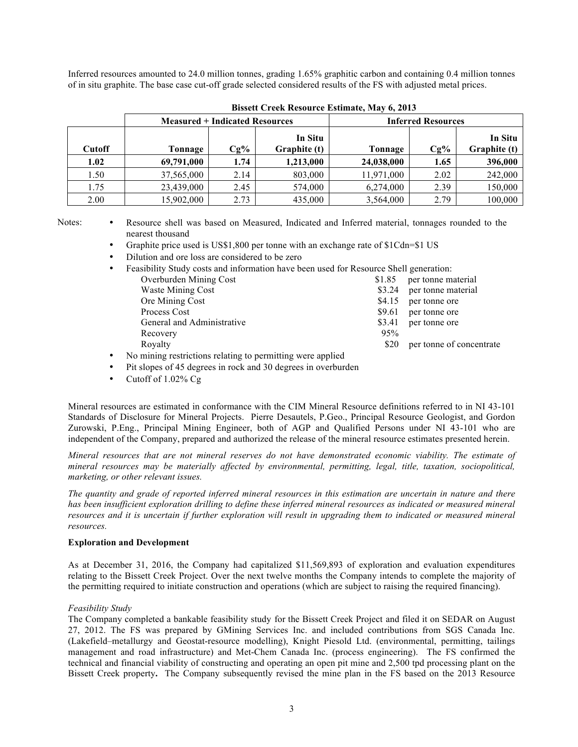Inferred resources amounted to 24.0 million tonnes, grading 1.65% graphitic carbon and containing 0.4 million tonnes of in situ graphite. The base case cut-off grade selected considered results of the FS with adjusted metal prices.

|               | <b>Measured + Indicated Resources</b> |        |                         | <b>Inferred Resources</b> |        |                         |  |
|---------------|---------------------------------------|--------|-------------------------|---------------------------|--------|-------------------------|--|
| <b>Cutoff</b> | Tonnage                               | $Cg\%$ | In Situ<br>Graphite (t) | Tonnage                   | $Cg\%$ | In Situ<br>Graphite (t) |  |
| 1.02          | 69,791,000                            | 1.74   | 1,213,000               | 24,038,000                | 1.65   | 396,000                 |  |
| 1.50          | 37,565,000                            | 2.14   | 803,000                 | 11,971,000                | 2.02   | 242,000                 |  |
| 1.75          | 23,439,000                            | 2.45   | 574,000                 | 6,274,000                 | 2.39   | 150,000                 |  |
| 2.00          | 15,902,000                            | 2.73   | 435,000                 | 3,564,000                 | 2.79   | 100,000                 |  |

**Bissett Creek Resource Estimate, May 6, 2013**

Notes: • Resource shell was based on Measured, Indicated and Inferred material, tonnages rounded to the nearest thousand

Graphite price used is US\$1,800 per tonne with an exchange rate of \$1Cdn=\$1 US

• Dilution and ore loss are considered to be zero

| $\bullet$ | Feasibility Study costs and information have been used for Resource Shell generation:                                      |        |                          |
|-----------|----------------------------------------------------------------------------------------------------------------------------|--------|--------------------------|
|           | Overburden Mining Cost                                                                                                     | \$1.85 | per tonne material       |
|           | <b>Waste Mining Cost</b>                                                                                                   | \$3.24 | per tonne material       |
|           | Ore Mining Cost                                                                                                            | \$4.15 | per tonne ore            |
|           | Process Cost                                                                                                               | \$9.61 | per tonne ore            |
|           | General and Administrative                                                                                                 | \$3.41 | per tonne ore            |
|           | Recovery                                                                                                                   | 95%    |                          |
|           | Royalty                                                                                                                    | \$20   | per tonne of concentrate |
|           | $\mathbf{z} = -\mathbf{M}$ . In the time construction is constructed in a second function of the second field $\mathbf{f}$ |        |                          |

- No mining restrictions relating to permitting were applied
- Pit slopes of 45 degrees in rock and 30 degrees in overburden
- Cutoff of 1.02% Cg

Mineral resources are estimated in conformance with the CIM Mineral Resource definitions referred to in NI 43-101 Standards of Disclosure for Mineral Projects. Pierre Desautels, P.Geo., Principal Resource Geologist, and Gordon Zurowski, P.Eng., Principal Mining Engineer, both of AGP and Qualified Persons under NI 43-101 who are independent of the Company, prepared and authorized the release of the mineral resource estimates presented herein.

*Mineral resources that are not mineral reserves do not have demonstrated economic viability. The estimate of mineral resources may be materially affected by environmental, permitting, legal, title, taxation, sociopolitical, marketing, or other relevant issues.*

*The quantity and grade of reported inferred mineral resources in this estimation are uncertain in nature and there has been insufficient exploration drilling to define these inferred mineral resources as indicated or measured mineral resources and it is uncertain if further exploration will result in upgrading them to indicated or measured mineral resources.*

## **Exploration and Development**

As at December 31, 2016, the Company had capitalized \$11,569,893 of exploration and evaluation expenditures relating to the Bissett Creek Project. Over the next twelve months the Company intends to complete the majority of the permitting required to initiate construction and operations (which are subject to raising the required financing).

# *Feasibility Study*

The Company completed a bankable feasibility study for the Bissett Creek Project and filed it on SEDAR on August 27, 2012. The FS was prepared by GMining Services Inc. and included contributions from SGS Canada Inc. (Lakefield–metallurgy and Geostat-resource modelling), Knight Piesold Ltd. (environmental, permitting, tailings management and road infrastructure) and Met-Chem Canada Inc. (process engineering). The FS confirmed the technical and financial viability of constructing and operating an open pit mine and 2,500 tpd processing plant on the Bissett Creek property**.** The Company subsequently revised the mine plan in the FS based on the 2013 Resource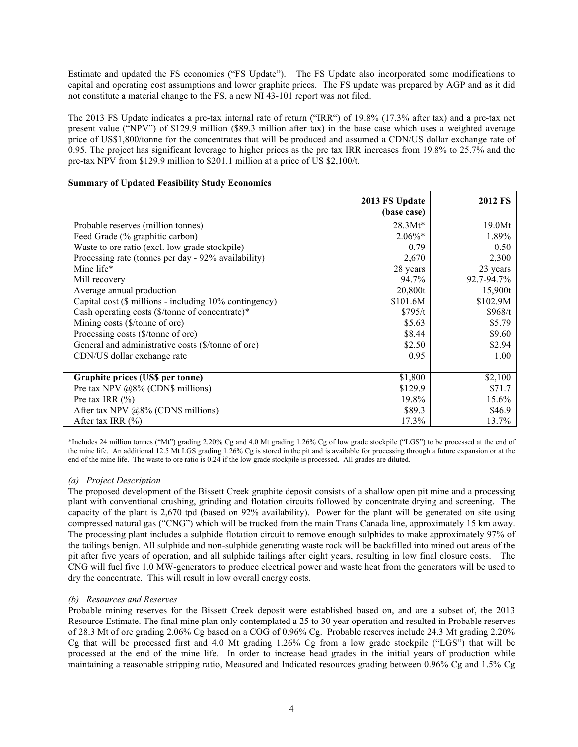Estimate and updated the FS economics ("FS Update"). The FS Update also incorporated some modifications to capital and operating cost assumptions and lower graphite prices. The FS update was prepared by AGP and as it did not constitute a material change to the FS, a new NI 43-101 report was not filed.

The 2013 FS Update indicates a pre-tax internal rate of return ("IRR") of 19.8% (17.3% after tax) and a pre-tax net present value ("NPV") of \$129.9 million (\$89.3 million after tax) in the base case which uses a weighted average price of US\$1,800/tonne for the concentrates that will be produced and assumed a CDN/US dollar exchange rate of 0.95. The project has significant leverage to higher prices as the pre tax IRR increases from 19.8% to 25.7% and the pre-tax NPV from \$129.9 million to \$201.1 million at a price of US \$2,100/t.

## **Summary of Updated Feasibility Study Economics**

|                                                             | 2013 FS Update | <b>2012 FS</b> |
|-------------------------------------------------------------|----------------|----------------|
|                                                             | (base case)    |                |
| Probable reserves (million tonnes)                          | $28.3Mt*$      | 19.0Mt         |
| Feed Grade (% graphitic carbon)                             | $2.06\%*$      | 1.89%          |
| Waste to ore ratio (excl. low grade stockpile)              | 0.79           | 0.50           |
| Processing rate (tonnes per day - 92% availability)         | 2,670          | 2,300          |
| Mine life*                                                  | 28 years       | 23 years       |
| Mill recovery                                               | 94.7%          | 92.7-94.7%     |
| Average annual production                                   | 20,800t        | 15,900t        |
| Capital cost (\$ millions - including 10% contingency)      | \$101.6M       | \$102.9M       |
| Cash operating costs $(\frac{1}{2})$ tonne of concentrate)* | \$795/t        | \$968/t        |
| Mining costs (\$/tonne of ore)                              | \$5.63         | \$5.79         |
| Processing costs (\$/tonne of ore)                          | \$8.44         | \$9.60         |
| General and administrative costs (\$/tonne of ore)          | \$2.50         | \$2.94         |
| CDN/US dollar exchange rate                                 | 0.95           | 1.00           |
|                                                             |                |                |
| Graphite prices (US\$ per tonne)                            | \$1,800        | \$2,100        |
| Pre tax NPV $@8\%$ (CDN\$ millions)                         | \$129.9        | \$71.7         |
| Pre tax IRR $(\% )$                                         | 19.8%          | 15.6%          |
| After tax NPV @8% (CDN\$ millions)                          | \$89.3         | \$46.9         |
| After tax IRR $(\% )$                                       | 17.3%          | 13.7%          |

\*Includes 24 million tonnes ("Mt") grading 2.20% Cg and 4.0 Mt grading 1.26% Cg of low grade stockpile ("LGS") to be processed at the end of the mine life. An additional 12.5 Mt LGS grading 1.26% Cg is stored in the pit and is available for processing through a future expansion or at the end of the mine life. The waste to ore ratio is 0.24 if the low grade stockpile is processed. All grades are diluted.

## *(a) Project Description*

The proposed development of the Bissett Creek graphite deposit consists of a shallow open pit mine and a processing plant with conventional crushing, grinding and flotation circuits followed by concentrate drying and screening. The capacity of the plant is 2,670 tpd (based on 92% availability). Power for the plant will be generated on site using compressed natural gas ("CNG") which will be trucked from the main Trans Canada line, approximately 15 km away. The processing plant includes a sulphide flotation circuit to remove enough sulphides to make approximately 97% of the tailings benign. All sulphide and non-sulphide generating waste rock will be backfilled into mined out areas of the pit after five years of operation, and all sulphide tailings after eight years, resulting in low final closure costs. The CNG will fuel five 1.0 MW-generators to produce electrical power and waste heat from the generators will be used to dry the concentrate. This will result in low overall energy costs.

## *(b) Resources and Reserves*

Probable mining reserves for the Bissett Creek deposit were established based on, and are a subset of, the 2013 Resource Estimate. The final mine plan only contemplated a 25 to 30 year operation and resulted in Probable reserves of 28.3 Mt of ore grading 2.06% Cg based on a COG of 0.96% Cg. Probable reserves include 24.3 Mt grading 2.20% Cg that will be processed first and 4.0 Mt grading 1.26% Cg from a low grade stockpile ("LGS") that will be processed at the end of the mine life. In order to increase head grades in the initial years of production while maintaining a reasonable stripping ratio, Measured and Indicated resources grading between 0.96% Cg and 1.5% Cg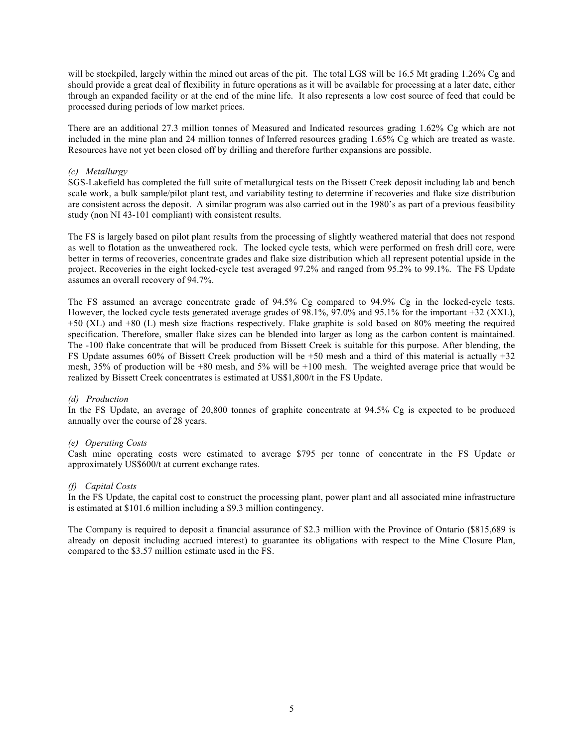will be stockpiled, largely within the mined out areas of the pit. The total LGS will be 16.5 Mt grading 1.26% Cg and should provide a great deal of flexibility in future operations as it will be available for processing at a later date, either through an expanded facility or at the end of the mine life. It also represents a low cost source of feed that could be processed during periods of low market prices.

There are an additional 27.3 million tonnes of Measured and Indicated resources grading 1.62% Cg which are not included in the mine plan and 24 million tonnes of Inferred resources grading 1.65% Cg which are treated as waste. Resources have not yet been closed off by drilling and therefore further expansions are possible.

### *(c) Metallurgy*

SGS-Lakefield has completed the full suite of metallurgical tests on the Bissett Creek deposit including lab and bench scale work, a bulk sample/pilot plant test, and variability testing to determine if recoveries and flake size distribution are consistent across the deposit. A similar program was also carried out in the 1980's as part of a previous feasibility study (non NI 43-101 compliant) with consistent results.

The FS is largely based on pilot plant results from the processing of slightly weathered material that does not respond as well to flotation as the unweathered rock. The locked cycle tests, which were performed on fresh drill core, were better in terms of recoveries, concentrate grades and flake size distribution which all represent potential upside in the project. Recoveries in the eight locked-cycle test averaged 97.2% and ranged from 95.2% to 99.1%. The FS Update assumes an overall recovery of 94.7%.

The FS assumed an average concentrate grade of 94.5% Cg compared to 94.9% Cg in the locked-cycle tests. However, the locked cycle tests generated average grades of 98.1%, 97.0% and 95.1% for the important +32 (XXL), +50 (XL) and +80 (L) mesh size fractions respectively. Flake graphite is sold based on 80% meeting the required specification. Therefore, smaller flake sizes can be blended into larger as long as the carbon content is maintained. The -100 flake concentrate that will be produced from Bissett Creek is suitable for this purpose. After blending, the FS Update assumes 60% of Bissett Creek production will be +50 mesh and a third of this material is actually +32 mesh, 35% of production will be +80 mesh, and 5% will be +100 mesh. The weighted average price that would be realized by Bissett Creek concentrates is estimated at US\$1,800/t in the FS Update.

#### *(d) Production*

In the FS Update, an average of 20,800 tonnes of graphite concentrate at 94.5% Cg is expected to be produced annually over the course of 28 years.

#### *(e) Operating Costs*

Cash mine operating costs were estimated to average \$795 per tonne of concentrate in the FS Update or approximately US\$600/t at current exchange rates.

#### *(f) Capital Costs*

In the FS Update, the capital cost to construct the processing plant, power plant and all associated mine infrastructure is estimated at \$101.6 million including a \$9.3 million contingency.

The Company is required to deposit a financial assurance of \$2.3 million with the Province of Ontario (\$815,689 is already on deposit including accrued interest) to guarantee its obligations with respect to the Mine Closure Plan, compared to the \$3.57 million estimate used in the FS.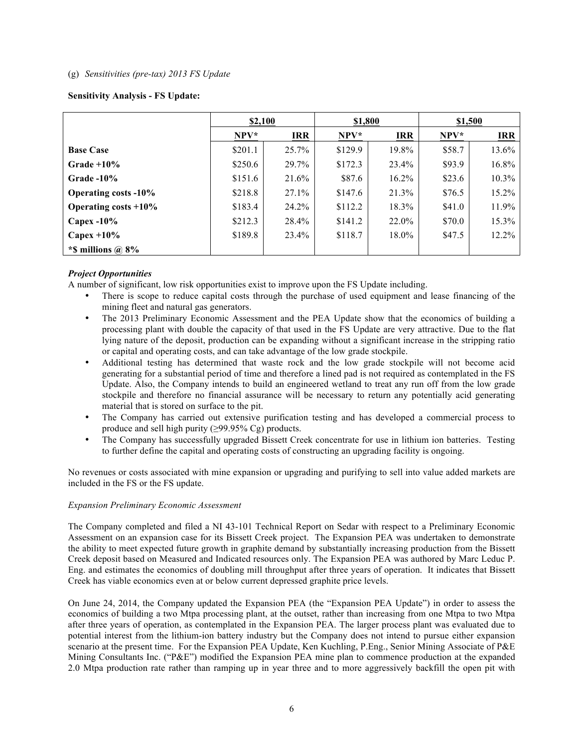### (g) *Sensitivities (pre-tax) 2013 FS Update*

## **Sensitivity Analysis - FS Update:**

|                             | \$2,100 |            |         | \$1,800    |        | \$1,500    |  |
|-----------------------------|---------|------------|---------|------------|--------|------------|--|
|                             | NPV*    | <b>IRR</b> | NPV*    | <b>IRR</b> | $NPV*$ | <b>IRR</b> |  |
| <b>Base Case</b>            | \$201.1 | 25.7%      | \$129.9 | 19.8%      | \$58.7 | 13.6%      |  |
| $Grade +10%$                | \$250.6 | 29.7%      | \$172.3 | 23.4%      | \$93.9 | 16.8%      |  |
| $Grade -10%$                | \$151.6 | 21.6%      | \$87.6  | $16.2\%$   | \$23.6 | 10.3%      |  |
| <b>Operating costs -10%</b> | \$218.8 | 27.1%      | \$147.6 | 21.3%      | \$76.5 | 15.2%      |  |
| Operating costs $+10\%$     | \$183.4 | 24.2%      | \$112.2 | 18.3%      | \$41.0 | 11.9%      |  |
| Capex $-10\%$               | \$212.3 | 28.4%      | \$141.2 | 22.0%      | \$70.0 | 15.3%      |  |
| Capex $+10\%$               | \$189.8 | 23.4%      | \$118.7 | $18.0\%$   | \$47.5 | 12.2%      |  |
| *\$ millions $\omega$ 8%    |         |            |         |            |        |            |  |

## *Project Opportunities*

A number of significant, low risk opportunities exist to improve upon the FS Update including.

- There is scope to reduce capital costs through the purchase of used equipment and lease financing of the mining fleet and natural gas generators.
- The 2013 Preliminary Economic Assessment and the PEA Update show that the economics of building a processing plant with double the capacity of that used in the FS Update are very attractive. Due to the flat lying nature of the deposit, production can be expanding without a significant increase in the stripping ratio or capital and operating costs, and can take advantage of the low grade stockpile.
- Additional testing has determined that waste rock and the low grade stockpile will not become acid generating for a substantial period of time and therefore a lined pad is not required as contemplated in the FS Update. Also, the Company intends to build an engineered wetland to treat any run off from the low grade stockpile and therefore no financial assurance will be necessary to return any potentially acid generating material that is stored on surface to the pit.
- The Company has carried out extensive purification testing and has developed a commercial process to produce and sell high purity (≥99.95% Cg) products.
- The Company has successfully upgraded Bissett Creek concentrate for use in lithium ion batteries. Testing to further define the capital and operating costs of constructing an upgrading facility is ongoing.

No revenues or costs associated with mine expansion or upgrading and purifying to sell into value added markets are included in the FS or the FS update.

#### *Expansion Preliminary Economic Assessment*

The Company completed and filed a NI 43-101 Technical Report on Sedar with respect to a Preliminary Economic Assessment on an expansion case for its Bissett Creek project. The Expansion PEA was undertaken to demonstrate the ability to meet expected future growth in graphite demand by substantially increasing production from the Bissett Creek deposit based on Measured and Indicated resources only. The Expansion PEA was authored by Marc Leduc P. Eng. and estimates the economics of doubling mill throughput after three years of operation. It indicates that Bissett Creek has viable economics even at or below current depressed graphite price levels.

On June 24, 2014, the Company updated the Expansion PEA (the "Expansion PEA Update") in order to assess the economics of building a two Mtpa processing plant, at the outset, rather than increasing from one Mtpa to two Mtpa after three years of operation, as contemplated in the Expansion PEA. The larger process plant was evaluated due to potential interest from the lithium-ion battery industry but the Company does not intend to pursue either expansion scenario at the present time. For the Expansion PEA Update, Ken Kuchling, P.Eng., Senior Mining Associate of P&E Mining Consultants Inc. ("P&E") modified the Expansion PEA mine plan to commence production at the expanded 2.0 Mtpa production rate rather than ramping up in year three and to more aggressively backfill the open pit with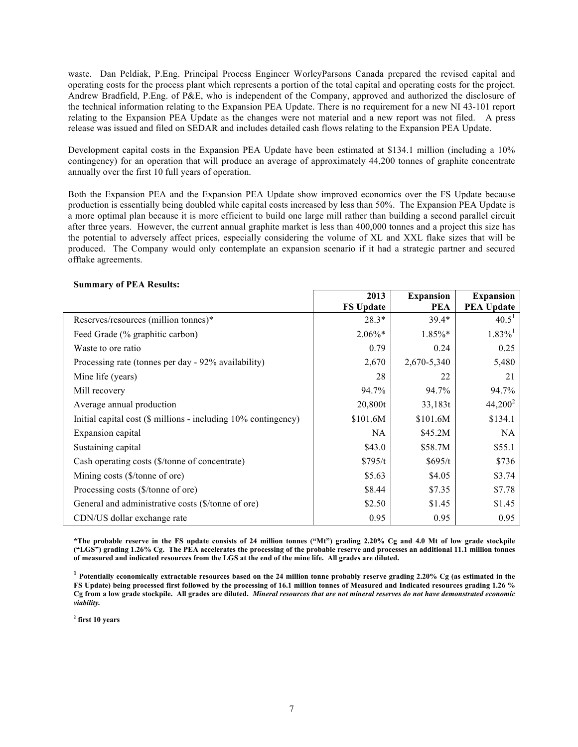waste. Dan Peldiak, P.Eng. Principal Process Engineer WorleyParsons Canada prepared the revised capital and operating costs for the process plant which represents a portion of the total capital and operating costs for the project. Andrew Bradfield, P.Eng. of P&E, who is independent of the Company, approved and authorized the disclosure of the technical information relating to the Expansion PEA Update. There is no requirement for a new NI 43-101 report relating to the Expansion PEA Update as the changes were not material and a new report was not filed. A press release was issued and filed on SEDAR and includes detailed cash flows relating to the Expansion PEA Update.

Development capital costs in the Expansion PEA Update have been estimated at \$134.1 million (including a 10% contingency) for an operation that will produce an average of approximately 44,200 tonnes of graphite concentrate annually over the first 10 full years of operation.

Both the Expansion PEA and the Expansion PEA Update show improved economics over the FS Update because production is essentially being doubled while capital costs increased by less than 50%. The Expansion PEA Update is a more optimal plan because it is more efficient to build one large mill rather than building a second parallel circuit after three years. However, the current annual graphite market is less than 400,000 tonnes and a project this size has the potential to adversely affect prices, especially considering the volume of XL and XXL flake sizes that will be produced. The Company would only contemplate an expansion scenario if it had a strategic partner and secured offtake agreements.

**2013** 

#### **Summary of PEA Results:**

|                                                                | 2013             | <b>Expansion</b> | <b>Expansion</b>      |
|----------------------------------------------------------------|------------------|------------------|-----------------------|
|                                                                | <b>FS Update</b> | <b>PEA</b>       | <b>PEA Update</b>     |
| Reserves/resources (million tonnes)*                           | $28.3*$          | $39.4*$          | $40.5^{\text{T}}$     |
| Feed Grade (% graphitic carbon)                                | $2.06\%*$        | $1.85\%*$        | $1.83\%$ <sup>1</sup> |
| Waste to ore ratio                                             | 0.79             | 0.24             | 0.25                  |
| Processing rate (tonnes per day - 92% availability)            | 2,670            | 2,670-5,340      | 5,480                 |
| Mine life (years)                                              | 28               | 22               | 21                    |
| Mill recovery                                                  | 94.7%            | 94.7%            | 94.7%                 |
| Average annual production                                      | 20,800t          | 33,183t          | $44,200^2$            |
| Initial capital cost (\$ millions - including 10% contingency) | \$101.6M         | \$101.6M         | \$134.1               |
| Expansion capital                                              | NA.              | \$45.2M\$        | <b>NA</b>             |
| Sustaining capital                                             | \$43.0           | \$58.7M          | \$55.1                |
| Cash operating costs (\$/tonne of concentrate)                 | \$795/t          | \$695/t          | \$736                 |
| Mining costs (\$/tonne of ore)                                 | \$5.63           | \$4.05           | \$3.74                |
| Processing costs (\$/tonne of ore)                             | \$8.44           | \$7.35           | \$7.78                |
| General and administrative costs (\$/tonne of ore)             | \$2.50           | \$1.45           | \$1.45                |
| CDN/US dollar exchange rate                                    | 0.95             | 0.95             | 0.95                  |

**\*The probable reserve in the FS update consists of 24 million tonnes ("Mt") grading 2.20% Cg and 4.0 Mt of low grade stockpile ("LGS") grading 1.26% Cg. The PEA accelerates the processing of the probable reserve and processes an additional 11.1 million tonnes of measured and indicated resources from the LGS at the end of the mine life. All grades are diluted.**

**<sup>1</sup> Potentially economically extractable resources based on the 24 million tonne probably reserve grading 2.20% Cg (as estimated in the FS Update) being processed first followed by the processing of 16.1 million tonnes of Measured and Indicated resources grading 1.26 % Cg from a low grade stockpile. All grades are diluted.** *Mineral resources that are not mineral reserves do not have demonstrated economic viability.* 

**<sup>2</sup> first 10 years**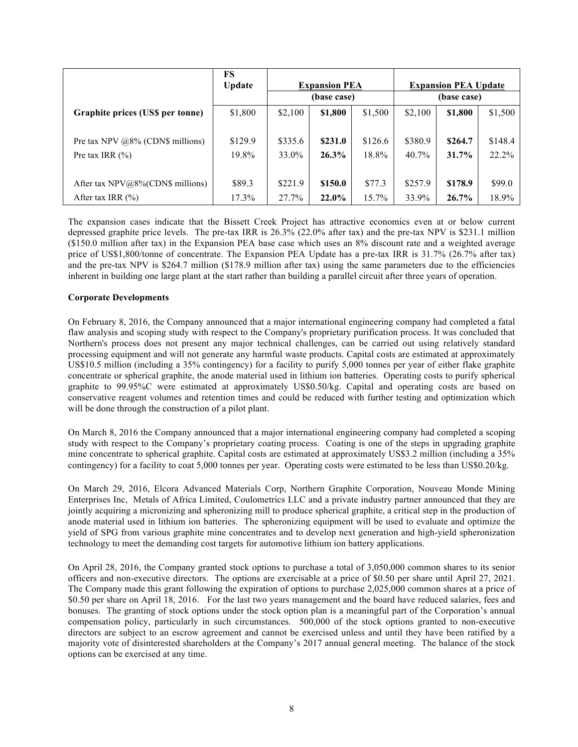|                                      | FS<br><b>Update</b> | <b>Expansion PEA</b><br>(base case) |          |          | <b>Expansion PEA Update</b><br>(base case) |         |         |
|--------------------------------------|---------------------|-------------------------------------|----------|----------|--------------------------------------------|---------|---------|
| Graphite prices (US\$ per tonne)     | \$1,800             | \$2,100                             | \$1,800  | \$1,500  | \$2,100                                    | \$1,800 | \$1,500 |
| Pre tax NPV $@8\%$ (CDN\$ millions)  | \$129.9             | \$335.6                             | \$231.0  | \$126.6  | \$380.9                                    | \$264.7 | \$148.4 |
| Pre tax IRR $(\% )$                  | 19.8%               | 33.0%                               | $26.3\%$ | 18.8%    | 40.7%                                      | 31.7%   | 22.2%   |
| After tax $NPV@8\%$ (CDN\$ millions) | \$89.3              | \$221.9                             | \$150.0  | \$77.3   | \$257.9                                    | \$178.9 | \$99.0  |
| After tax IRR $(\% )$                | 17.3%               | 27.7%                               | 22.0%    | $15.7\%$ | 33.9%                                      | 26.7%   | 18.9%   |

The expansion cases indicate that the Bissett Creek Project has attractive economics even at or below current depressed graphite price levels. The pre-tax IRR is 26.3% (22.0% after tax) and the pre-tax NPV is \$231.1 million (\$150.0 million after tax) in the Expansion PEA base case which uses an 8% discount rate and a weighted average price of US\$1,800/tonne of concentrate. The Expansion PEA Update has a pre-tax IRR is 31.7% (26.7% after tax) and the pre-tax NPV is \$264.7 million (\$178.9 million after tax) using the same parameters due to the efficiencies inherent in building one large plant at the start rather than building a parallel circuit after three years of operation.

### **Corporate Developments**

On February 8, 2016, the Company announced that a major international engineering company had completed a fatal flaw analysis and scoping study with respect to the Company's proprietary purification process. It was concluded that Northern's process does not present any major technical challenges, can be carried out using relatively standard processing equipment and will not generate any harmful waste products. Capital costs are estimated at approximately US\$10.5 million (including a 35% contingency) for a facility to purify 5,000 tonnes per year of either flake graphite concentrate or spherical graphite, the anode material used in lithium ion batteries. Operating costs to purify spherical graphite to 99.95%C were estimated at approximately US\$0.50/kg. Capital and operating costs are based on conservative reagent volumes and retention times and could be reduced with further testing and optimization which will be done through the construction of a pilot plant.

On March 8, 2016 the Company announced that a major international engineering company had completed a scoping study with respect to the Company's proprietary coating process. Coating is one of the steps in upgrading graphite mine concentrate to spherical graphite. Capital costs are estimated at approximately US\$3.2 million (including a 35% contingency) for a facility to coat 5,000 tonnes per year. Operating costs were estimated to be less than US\$0.20/kg.

On March 29, 2016, Elcora Advanced Materials Corp, Northern Graphite Corporation, Nouveau Monde Mining Enterprises Inc, Metals of Africa Limited, Coulometrics LLC and a private industry partner announced that they are jointly acquiring a micronizing and spheronizing mill to produce spherical graphite, a critical step in the production of anode material used in lithium ion batteries. The spheronizing equipment will be used to evaluate and optimize the yield of SPG from various graphite mine concentrates and to develop next generation and high-yield spheronization technology to meet the demanding cost targets for automotive lithium ion battery applications.

On April 28, 2016, the Company granted stock options to purchase a total of 3,050,000 common shares to its senior officers and non-executive directors. The options are exercisable at a price of \$0.50 per share until April 27, 2021. The Company made this grant following the expiration of options to purchase 2,025,000 common shares at a price of \$0.50 per share on April 18, 2016. For the last two years management and the board have reduced salaries, fees and bonuses. The granting of stock options under the stock option plan is a meaningful part of the Corporation's annual compensation policy, particularly in such circumstances. 500,000 of the stock options granted to non-executive directors are subject to an escrow agreement and cannot be exercised unless and until they have been ratified by a majority vote of disinterested shareholders at the Company's 2017 annual general meeting. The balance of the stock options can be exercised at any time.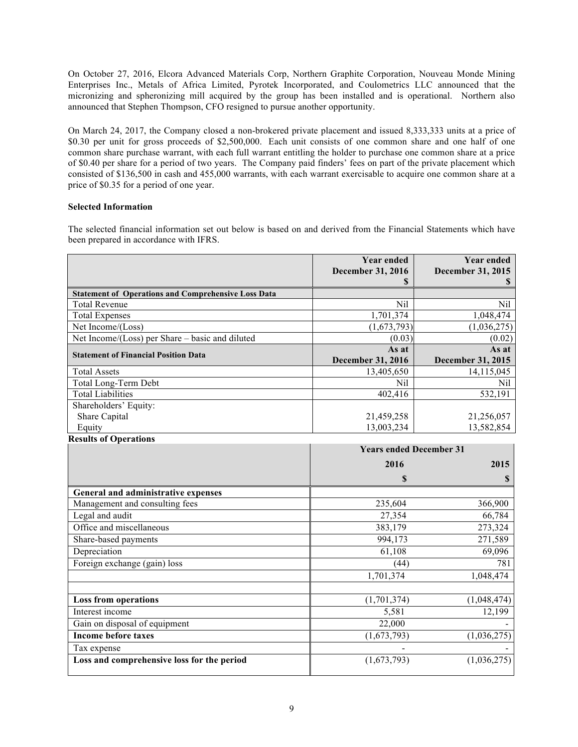On October 27, 2016, Elcora Advanced Materials Corp, Northern Graphite Corporation, Nouveau Monde Mining Enterprises Inc., Metals of Africa Limited, Pyrotek Incorporated, and Coulometrics LLC announced that the micronizing and spheronizing mill acquired by the group has been installed and is operational. Northern also announced that Stephen Thompson, CFO resigned to pursue another opportunity.

On March 24, 2017, the Company closed a non-brokered private placement and issued 8,333,333 units at a price of \$0.30 per unit for gross proceeds of \$2,500,000. Each unit consists of one common share and one half of one common share purchase warrant, with each full warrant entitling the holder to purchase one common share at a price of \$0.40 per share for a period of two years. The Company paid finders' fees on part of the private placement which consisted of \$136,500 in cash and 455,000 warrants, with each warrant exercisable to acquire one common share at a price of \$0.35 for a period of one year.

## **Selected Information**

The selected financial information set out below is based on and derived from the Financial Statements which have been prepared in accordance with IFRS.

|                                                            | <b>Year ended</b><br>December 31, 2016 | <b>Year ended</b><br>December 31, 2015 |
|------------------------------------------------------------|----------------------------------------|----------------------------------------|
|                                                            | S                                      | S                                      |
| <b>Statement of Operations and Comprehensive Loss Data</b> |                                        |                                        |
| <b>Total Revenue</b>                                       | Nil                                    | Nil                                    |
| <b>Total Expenses</b>                                      | 1,701,374                              | 1,048,474                              |
| Net Income/(Loss)                                          | (1,673,793)                            | (1,036,275)                            |
| Net Income/(Loss) per Share - basic and diluted            | (0.03)                                 | (0.02)                                 |
| <b>Statement of Financial Position Data</b>                | As at                                  | As at                                  |
|                                                            | December 31, 2016                      | December 31, 2015                      |
| <b>Total Assets</b>                                        | 13,405,650                             | 14,115,045                             |
| Total Long-Term Debt                                       | Nil                                    | Nil                                    |
| <b>Total Liabilities</b>                                   | 402,416                                | 532,191                                |
| Shareholders' Equity:                                      |                                        |                                        |
| Share Capital                                              | 21,459,258                             | 21,256,057                             |
| Equity                                                     | 13,003,234                             | 13,582,854                             |
| <b>Results of Operations</b>                               |                                        |                                        |
|                                                            | <b>Years ended December 31</b>         |                                        |
|                                                            | 2016                                   | 2015                                   |
|                                                            | \$                                     | S                                      |
| General and administrative expenses                        |                                        |                                        |
| Management and consulting fees                             | 235,604                                | 366,900                                |
| Legal and audit                                            | 27,354                                 | 66,784                                 |
| Office and miscellaneous                                   | 383,179                                | 273,324                                |
| Share-based payments                                       | 994,173                                | 271,589                                |
| Depreciation                                               | 61,108                                 | 69,096                                 |
| Foreign exchange (gain) loss                               | (44)                                   | 781                                    |
|                                                            | 1,701,374                              | 1.048.474                              |

|                                            | 1,701,374   | 1,048,474   |
|--------------------------------------------|-------------|-------------|
|                                            |             |             |
| <b>Loss from operations</b>                | (1,701,374) | (1,048,474) |
| Interest income                            | 5,581       | 12,199      |
| Gain on disposal of equipment              | 22,000      |             |
| Income before taxes                        | (1,673,793) | (1,036,275) |
| Tax expense                                |             |             |
| Loss and comprehensive loss for the period | (1,673,793) | (1,036,275) |
|                                            |             |             |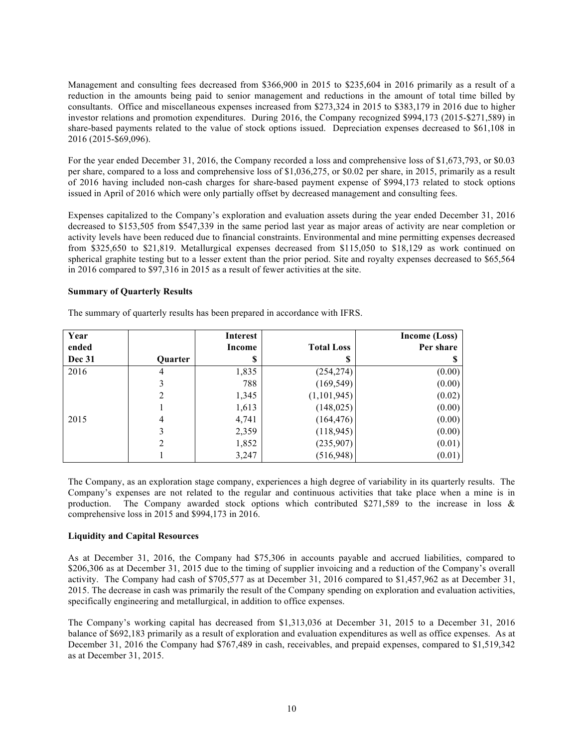Management and consulting fees decreased from \$366,900 in 2015 to \$235,604 in 2016 primarily as a result of a reduction in the amounts being paid to senior management and reductions in the amount of total time billed by consultants. Office and miscellaneous expenses increased from \$273,324 in 2015 to \$383,179 in 2016 due to higher investor relations and promotion expenditures. During 2016, the Company recognized \$994,173 (2015-\$271,589) in share-based payments related to the value of stock options issued. Depreciation expenses decreased to \$61,108 in 2016 (2015-\$69,096).

For the year ended December 31, 2016, the Company recorded a loss and comprehensive loss of \$1,673,793, or \$0.03 per share, compared to a loss and comprehensive loss of \$1,036,275, or \$0.02 per share, in 2015, primarily as a result of 2016 having included non-cash charges for share-based payment expense of \$994,173 related to stock options issued in April of 2016 which were only partially offset by decreased management and consulting fees.

Expenses capitalized to the Company's exploration and evaluation assets during the year ended December 31, 2016 decreased to \$153,505 from \$547,339 in the same period last year as major areas of activity are near completion or activity levels have been reduced due to financial constraints. Environmental and mine permitting expenses decreased from \$325,650 to \$21,819. Metallurgical expenses decreased from \$115,050 to \$18,129 as work continued on spherical graphite testing but to a lesser extent than the prior period. Site and royalty expenses decreased to \$65,564 in 2016 compared to \$97,316 in 2015 as a result of fewer activities at the site.

#### **Summary of Quarterly Results**

| Year          |                | Interest |                   | Income (Loss) |
|---------------|----------------|----------|-------------------|---------------|
| ended         |                | Income   | <b>Total Loss</b> | Per share     |
| <b>Dec 31</b> | <b>Ouarter</b> | S        |                   |               |
| 2016          | 4              | 1,835    | (254, 274)        | (0.00)        |
|               | 3              | 788      | (169, 549)        | (0.00)        |
|               | 2              | 1,345    | (1,101,945)       | (0.02)        |
|               |                | 1,613    | (148, 025)        | (0.00)        |
| 2015          | 4              | 4,741    | (164, 476)        | (0.00)        |
|               | 3              | 2,359    | (118, 945)        | (0.00)        |
|               | 2              | 1,852    | (235,907)         | (0.01)        |
|               |                | 3,247    | (516, 948)        | (0.01)        |

The summary of quarterly results has been prepared in accordance with IFRS.

The Company, as an exploration stage company, experiences a high degree of variability in its quarterly results. The Company's expenses are not related to the regular and continuous activities that take place when a mine is in production. The Company awarded stock options which contributed \$271,589 to the increase in loss & comprehensive loss in 2015 and \$994,173 in 2016.

#### **Liquidity and Capital Resources**

As at December 31, 2016, the Company had \$75,306 in accounts payable and accrued liabilities, compared to \$206,306 as at December 31, 2015 due to the timing of supplier invoicing and a reduction of the Company's overall activity. The Company had cash of \$705,577 as at December 31, 2016 compared to \$1,457,962 as at December 31, 2015. The decrease in cash was primarily the result of the Company spending on exploration and evaluation activities, specifically engineering and metallurgical, in addition to office expenses.

The Company's working capital has decreased from \$1,313,036 at December 31, 2015 to a December 31, 2016 balance of \$692,183 primarily as a result of exploration and evaluation expenditures as well as office expenses. As at December 31, 2016 the Company had \$767,489 in cash, receivables, and prepaid expenses, compared to \$1,519,342 as at December 31, 2015.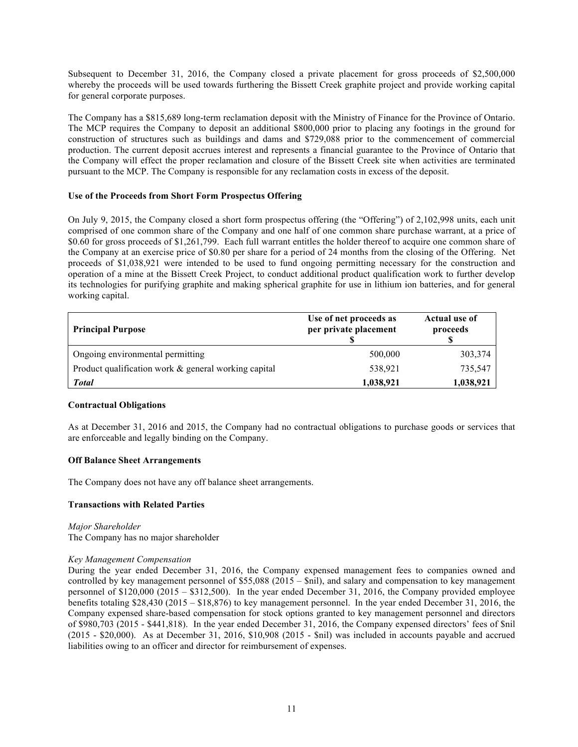Subsequent to December 31, 2016, the Company closed a private placement for gross proceeds of \$2,500,000 whereby the proceeds will be used towards furthering the Bissett Creek graphite project and provide working capital for general corporate purposes.

The Company has a \$815,689 long-term reclamation deposit with the Ministry of Finance for the Province of Ontario. The MCP requires the Company to deposit an additional \$800,000 prior to placing any footings in the ground for construction of structures such as buildings and dams and \$729,088 prior to the commencement of commercial production. The current deposit accrues interest and represents a financial guarantee to the Province of Ontario that the Company will effect the proper reclamation and closure of the Bissett Creek site when activities are terminated pursuant to the MCP. The Company is responsible for any reclamation costs in excess of the deposit.

## **Use of the Proceeds from Short Form Prospectus Offering**

On July 9, 2015, the Company closed a short form prospectus offering (the "Offering") of 2,102,998 units, each unit comprised of one common share of the Company and one half of one common share purchase warrant, at a price of \$0.60 for gross proceeds of \$1,261,799. Each full warrant entitles the holder thereof to acquire one common share of the Company at an exercise price of \$0.80 per share for a period of 24 months from the closing of the Offering. Net proceeds of \$1,038,921 were intended to be used to fund ongoing permitting necessary for the construction and operation of a mine at the Bissett Creek Project, to conduct additional product qualification work to further develop its technologies for purifying graphite and making spherical graphite for use in lithium ion batteries, and for general working capital.

| <b>Principal Purpose</b>                             | Use of net proceeds as<br>per private placement | <b>Actual use of</b><br>proceeds |
|------------------------------------------------------|-------------------------------------------------|----------------------------------|
| Ongoing environmental permitting                     | 500,000                                         | 303,374                          |
| Product qualification work & general working capital | 538,921                                         | 735,547                          |
| <b>Total</b>                                         | 1,038,921                                       | 1,038,921                        |

#### **Contractual Obligations**

As at December 31, 2016 and 2015, the Company had no contractual obligations to purchase goods or services that are enforceable and legally binding on the Company.

#### **Off Balance Sheet Arrangements**

The Company does not have any off balance sheet arrangements.

#### **Transactions with Related Parties**

#### *Major Shareholder* The Company has no major shareholder

### *Key Management Compensation*

During the year ended December 31, 2016, the Company expensed management fees to companies owned and controlled by key management personnel of \$55,088 (2015 – \$nil), and salary and compensation to key management personnel of \$120,000 (2015 – \$312,500). In the year ended December 31, 2016, the Company provided employee benefits totaling \$28,430 (2015 – \$18,876) to key management personnel. In the year ended December 31, 2016, the Company expensed share-based compensation for stock options granted to key management personnel and directors of \$980,703 (2015 - \$441,818). In the year ended December 31, 2016, the Company expensed directors' fees of \$nil (2015 - \$20,000). As at December 31, 2016, \$10,908 (2015 - \$nil) was included in accounts payable and accrued liabilities owing to an officer and director for reimbursement of expenses.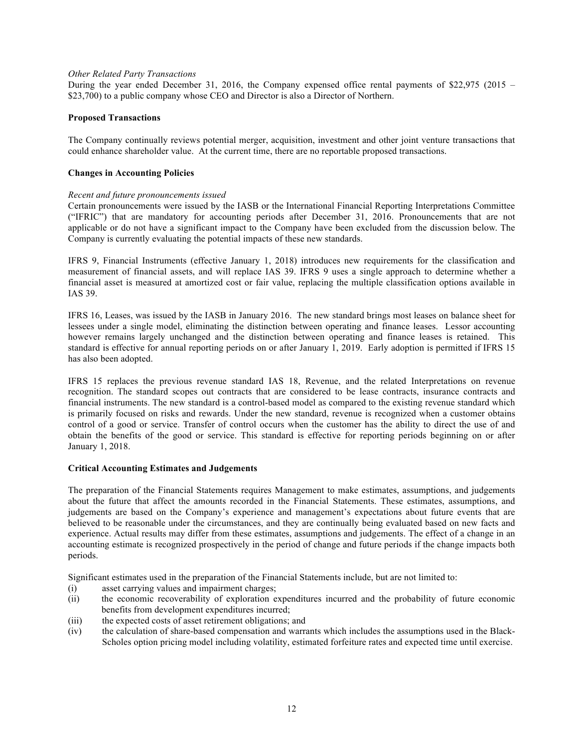### *Other Related Party Transactions*

During the year ended December 31, 2016, the Company expensed office rental payments of \$22,975 (2015 – \$23,700) to a public company whose CEO and Director is also a Director of Northern.

### **Proposed Transactions**

The Company continually reviews potential merger, acquisition, investment and other joint venture transactions that could enhance shareholder value. At the current time, there are no reportable proposed transactions.

### **Changes in Accounting Policies**

### *Recent and future pronouncements issued*

Certain pronouncements were issued by the IASB or the International Financial Reporting Interpretations Committee ("IFRIC") that are mandatory for accounting periods after December 31, 2016. Pronouncements that are not applicable or do not have a significant impact to the Company have been excluded from the discussion below. The Company is currently evaluating the potential impacts of these new standards.

IFRS 9, Financial Instruments (effective January 1, 2018) introduces new requirements for the classification and measurement of financial assets, and will replace IAS 39. IFRS 9 uses a single approach to determine whether a financial asset is measured at amortized cost or fair value, replacing the multiple classification options available in IAS 39.

IFRS 16, Leases, was issued by the IASB in January 2016. The new standard brings most leases on balance sheet for lessees under a single model, eliminating the distinction between operating and finance leases. Lessor accounting however remains largely unchanged and the distinction between operating and finance leases is retained. This standard is effective for annual reporting periods on or after January 1, 2019. Early adoption is permitted if IFRS 15 has also been adopted.

IFRS 15 replaces the previous revenue standard IAS 18, Revenue, and the related Interpretations on revenue recognition. The standard scopes out contracts that are considered to be lease contracts, insurance contracts and financial instruments. The new standard is a control-based model as compared to the existing revenue standard which is primarily focused on risks and rewards. Under the new standard, revenue is recognized when a customer obtains control of a good or service. Transfer of control occurs when the customer has the ability to direct the use of and obtain the benefits of the good or service. This standard is effective for reporting periods beginning on or after January 1, 2018.

#### **Critical Accounting Estimates and Judgements**

The preparation of the Financial Statements requires Management to make estimates, assumptions, and judgements about the future that affect the amounts recorded in the Financial Statements. These estimates, assumptions, and judgements are based on the Company's experience and management's expectations about future events that are believed to be reasonable under the circumstances, and they are continually being evaluated based on new facts and experience. Actual results may differ from these estimates, assumptions and judgements. The effect of a change in an accounting estimate is recognized prospectively in the period of change and future periods if the change impacts both periods.

Significant estimates used in the preparation of the Financial Statements include, but are not limited to:

- (i) asset carrying values and impairment charges;
- (ii) the economic recoverability of exploration expenditures incurred and the probability of future economic benefits from development expenditures incurred;
- (iii) the expected costs of asset retirement obligations; and
- (iv) the calculation of share-based compensation and warrants which includes the assumptions used in the Black-Scholes option pricing model including volatility, estimated forfeiture rates and expected time until exercise.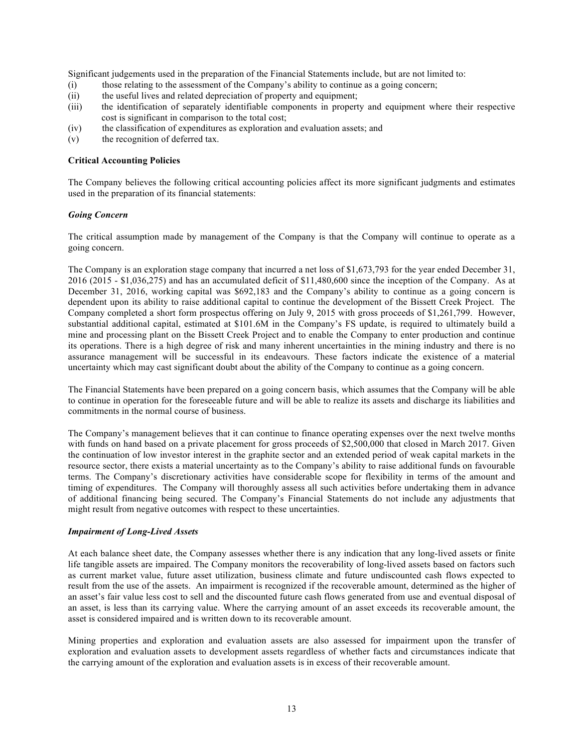Significant judgements used in the preparation of the Financial Statements include, but are not limited to:

- (i) those relating to the assessment of the Company's ability to continue as a going concern;
- (ii) the useful lives and related depreciation of property and equipment;
- (iii) the identification of separately identifiable components in property and equipment where their respective cost is significant in comparison to the total cost;
- (iv) the classification of expenditures as exploration and evaluation assets; and
- (v) the recognition of deferred tax.

#### **Critical Accounting Policies**

The Company believes the following critical accounting policies affect its more significant judgments and estimates used in the preparation of its financial statements:

### *Going Concern*

The critical assumption made by management of the Company is that the Company will continue to operate as a going concern.

The Company is an exploration stage company that incurred a net loss of \$1,673,793 for the year ended December 31, 2016 (2015 - \$1,036,275) and has an accumulated deficit of \$11,480,600 since the inception of the Company. As at December 31, 2016, working capital was \$692,183 and the Company's ability to continue as a going concern is dependent upon its ability to raise additional capital to continue the development of the Bissett Creek Project. The Company completed a short form prospectus offering on July 9, 2015 with gross proceeds of \$1,261,799. However, substantial additional capital, estimated at \$101.6M in the Company's FS update, is required to ultimately build a mine and processing plant on the Bissett Creek Project and to enable the Company to enter production and continue its operations. There is a high degree of risk and many inherent uncertainties in the mining industry and there is no assurance management will be successful in its endeavours. These factors indicate the existence of a material uncertainty which may cast significant doubt about the ability of the Company to continue as a going concern.

The Financial Statements have been prepared on a going concern basis, which assumes that the Company will be able to continue in operation for the foreseeable future and will be able to realize its assets and discharge its liabilities and commitments in the normal course of business.

The Company's management believes that it can continue to finance operating expenses over the next twelve months with funds on hand based on a private placement for gross proceeds of \$2,500,000 that closed in March 2017. Given the continuation of low investor interest in the graphite sector and an extended period of weak capital markets in the resource sector, there exists a material uncertainty as to the Company's ability to raise additional funds on favourable terms. The Company's discretionary activities have considerable scope for flexibility in terms of the amount and timing of expenditures. The Company will thoroughly assess all such activities before undertaking them in advance of additional financing being secured. The Company's Financial Statements do not include any adjustments that might result from negative outcomes with respect to these uncertainties.

#### *Impairment of Long-Lived Assets*

At each balance sheet date, the Company assesses whether there is any indication that any long-lived assets or finite life tangible assets are impaired. The Company monitors the recoverability of long-lived assets based on factors such as current market value, future asset utilization, business climate and future undiscounted cash flows expected to result from the use of the assets. An impairment is recognized if the recoverable amount, determined as the higher of an asset's fair value less cost to sell and the discounted future cash flows generated from use and eventual disposal of an asset, is less than its carrying value. Where the carrying amount of an asset exceeds its recoverable amount, the asset is considered impaired and is written down to its recoverable amount.

Mining properties and exploration and evaluation assets are also assessed for impairment upon the transfer of exploration and evaluation assets to development assets regardless of whether facts and circumstances indicate that the carrying amount of the exploration and evaluation assets is in excess of their recoverable amount.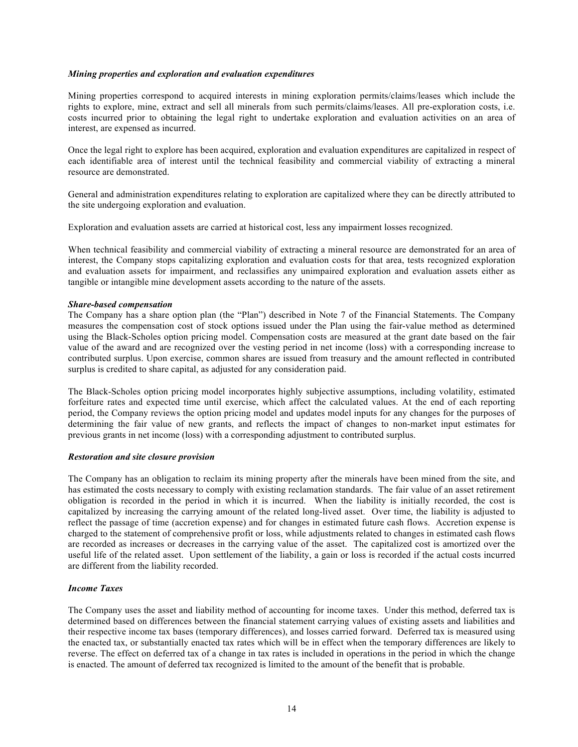#### *Mining properties and exploration and evaluation expenditures*

Mining properties correspond to acquired interests in mining exploration permits/claims/leases which include the rights to explore, mine, extract and sell all minerals from such permits/claims/leases. All pre-exploration costs, i.e. costs incurred prior to obtaining the legal right to undertake exploration and evaluation activities on an area of interest, are expensed as incurred.

Once the legal right to explore has been acquired, exploration and evaluation expenditures are capitalized in respect of each identifiable area of interest until the technical feasibility and commercial viability of extracting a mineral resource are demonstrated.

General and administration expenditures relating to exploration are capitalized where they can be directly attributed to the site undergoing exploration and evaluation.

Exploration and evaluation assets are carried at historical cost, less any impairment losses recognized.

When technical feasibility and commercial viability of extracting a mineral resource are demonstrated for an area of interest, the Company stops capitalizing exploration and evaluation costs for that area, tests recognized exploration and evaluation assets for impairment, and reclassifies any unimpaired exploration and evaluation assets either as tangible or intangible mine development assets according to the nature of the assets.

#### *Share-based compensation*

The Company has a share option plan (the "Plan") described in Note 7 of the Financial Statements. The Company measures the compensation cost of stock options issued under the Plan using the fair-value method as determined using the Black-Scholes option pricing model. Compensation costs are measured at the grant date based on the fair value of the award and are recognized over the vesting period in net income (loss) with a corresponding increase to contributed surplus. Upon exercise, common shares are issued from treasury and the amount reflected in contributed surplus is credited to share capital, as adjusted for any consideration paid.

The Black-Scholes option pricing model incorporates highly subjective assumptions, including volatility, estimated forfeiture rates and expected time until exercise, which affect the calculated values. At the end of each reporting period, the Company reviews the option pricing model and updates model inputs for any changes for the purposes of determining the fair value of new grants, and reflects the impact of changes to non-market input estimates for previous grants in net income (loss) with a corresponding adjustment to contributed surplus.

#### *Restoration and site closure provision*

The Company has an obligation to reclaim its mining property after the minerals have been mined from the site, and has estimated the costs necessary to comply with existing reclamation standards. The fair value of an asset retirement obligation is recorded in the period in which it is incurred. When the liability is initially recorded, the cost is capitalized by increasing the carrying amount of the related long-lived asset. Over time, the liability is adjusted to reflect the passage of time (accretion expense) and for changes in estimated future cash flows. Accretion expense is charged to the statement of comprehensive profit or loss, while adjustments related to changes in estimated cash flows are recorded as increases or decreases in the carrying value of the asset. The capitalized cost is amortized over the useful life of the related asset. Upon settlement of the liability, a gain or loss is recorded if the actual costs incurred are different from the liability recorded.

#### *Income Taxes*

The Company uses the asset and liability method of accounting for income taxes. Under this method, deferred tax is determined based on differences between the financial statement carrying values of existing assets and liabilities and their respective income tax bases (temporary differences), and losses carried forward. Deferred tax is measured using the enacted tax, or substantially enacted tax rates which will be in effect when the temporary differences are likely to reverse. The effect on deferred tax of a change in tax rates is included in operations in the period in which the change is enacted. The amount of deferred tax recognized is limited to the amount of the benefit that is probable.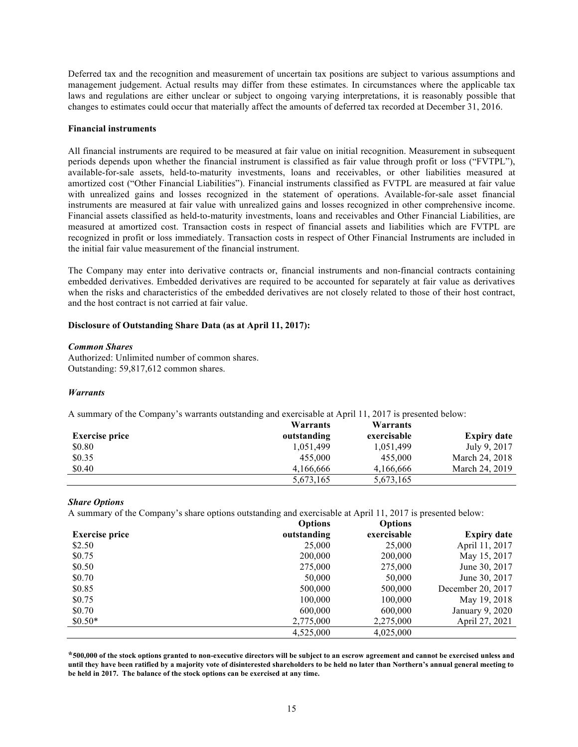Deferred tax and the recognition and measurement of uncertain tax positions are subject to various assumptions and management judgement. Actual results may differ from these estimates. In circumstances where the applicable tax laws and regulations are either unclear or subject to ongoing varying interpretations, it is reasonably possible that changes to estimates could occur that materially affect the amounts of deferred tax recorded at December 31, 2016.

#### **Financial instruments**

All financial instruments are required to be measured at fair value on initial recognition. Measurement in subsequent periods depends upon whether the financial instrument is classified as fair value through profit or loss ("FVTPL"), available-for-sale assets, held-to-maturity investments, loans and receivables, or other liabilities measured at amortized cost ("Other Financial Liabilities"). Financial instruments classified as FVTPL are measured at fair value with unrealized gains and losses recognized in the statement of operations. Available-for-sale asset financial instruments are measured at fair value with unrealized gains and losses recognized in other comprehensive income. Financial assets classified as held-to-maturity investments, loans and receivables and Other Financial Liabilities, are measured at amortized cost. Transaction costs in respect of financial assets and liabilities which are FVTPL are recognized in profit or loss immediately. Transaction costs in respect of Other Financial Instruments are included in the initial fair value measurement of the financial instrument.

The Company may enter into derivative contracts or, financial instruments and non-financial contracts containing embedded derivatives. Embedded derivatives are required to be accounted for separately at fair value as derivatives when the risks and characteristics of the embedded derivatives are not closely related to those of their host contract, and the host contract is not carried at fair value.

#### **Disclosure of Outstanding Share Data (as at April 11, 2017):**

#### *Common Shares*

Authorized: Unlimited number of common shares. Outstanding: 59,817,612 common shares.

#### *Warrants*

A summary of the Company's warrants outstanding and exercisable at April 11, 2017 is presented below:

|                       | Warrants    | Warrants    |                    |
|-----------------------|-------------|-------------|--------------------|
| <b>Exercise price</b> | outstanding | exercisable | <b>Expiry date</b> |
| \$0.80                | 1.051.499   | 1,051,499   | July 9, 2017       |
| \$0.35                | 455,000     | 455,000     | March 24, 2018     |
| \$0.40                | 4.166.666   | 4.166.666   | March 24, 2019     |
|                       | 5,673,165   | 5,673,165   |                    |

#### *Share Options*

A summary of the Company's share options outstanding and exercisable at April 11, 2017 is presented below:

|                       | <b>Options</b> | <b>Options</b> |                    |
|-----------------------|----------------|----------------|--------------------|
| <b>Exercise price</b> | outstanding    | exercisable    | <b>Expiry date</b> |
| \$2.50                | 25,000         | 25,000         | April 11, 2017     |
| \$0.75                | 200,000        | 200,000        | May 15, 2017       |
| \$0.50                | 275,000        | 275,000        | June 30, 2017      |
| \$0.70                | 50,000         | 50,000         | June 30, 2017      |
| \$0.85                | 500,000        | 500,000        | December 20, 2017  |
| \$0.75                | 100,000        | 100,000        | May 19, 2018       |
| \$0.70                | 600,000        | 600,000        | January 9, 2020    |
| $$0.50*$              | 2,775,000      | 2,275,000      | April 27, 2021     |
|                       | 4,525,000      | 4,025,000      |                    |

**\*500,000 of the stock options granted to non-executive directors will be subject to an escrow agreement and cannot be exercised unless and until they have been ratified by a majority vote of disinterested shareholders to be held no later than Northern's annual general meeting to be held in 2017. The balance of the stock options can be exercised at any time.**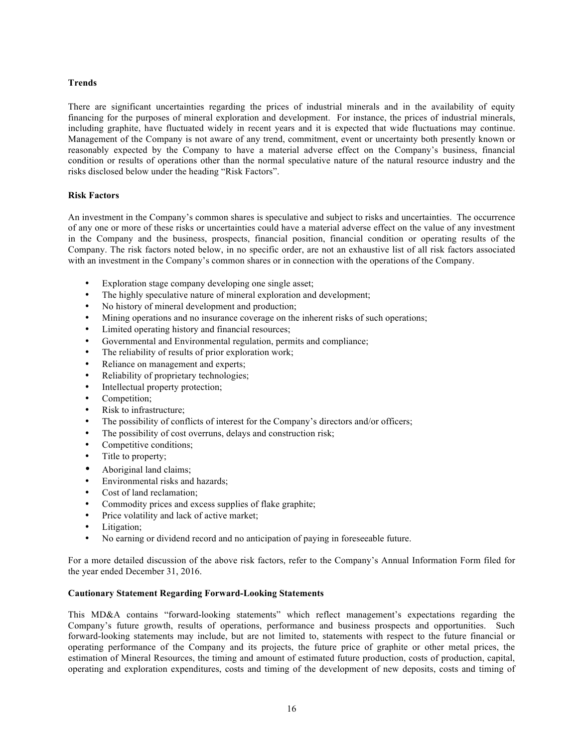## **Trends**

There are significant uncertainties regarding the prices of industrial minerals and in the availability of equity financing for the purposes of mineral exploration and development. For instance, the prices of industrial minerals, including graphite, have fluctuated widely in recent years and it is expected that wide fluctuations may continue. Management of the Company is not aware of any trend, commitment, event or uncertainty both presently known or reasonably expected by the Company to have a material adverse effect on the Company's business, financial condition or results of operations other than the normal speculative nature of the natural resource industry and the risks disclosed below under the heading "Risk Factors".

#### **Risk Factors**

An investment in the Company's common shares is speculative and subject to risks and uncertainties. The occurrence of any one or more of these risks or uncertainties could have a material adverse effect on the value of any investment in the Company and the business, prospects, financial position, financial condition or operating results of the Company. The risk factors noted below, in no specific order, are not an exhaustive list of all risk factors associated with an investment in the Company's common shares or in connection with the operations of the Company.

- Exploration stage company developing one single asset;
- The highly speculative nature of mineral exploration and development;
- No history of mineral development and production;
- Mining operations and no insurance coverage on the inherent risks of such operations;
- Limited operating history and financial resources;
- Governmental and Environmental regulation, permits and compliance;
- The reliability of results of prior exploration work;
- Reliance on management and experts;
- Reliability of proprietary technologies;
- Intellectual property protection;
- Competition;<br>• Risk to infrast
- Risk to infrastructure;
- The possibility of conflicts of interest for the Company's directors and/or officers;
- The possibility of cost overruns, delays and construction risk;
- Competitive conditions;<br>• Title to property:
- Title to property;
- Aboriginal land claims;<br>• Environmental risks and
- Environmental risks and hazards;
- Cost of land reclamation;
- Commodity prices and excess supplies of flake graphite;
- Price volatility and lack of active market;
- Litigation;
- No earning or dividend record and no anticipation of paying in foreseeable future.

For a more detailed discussion of the above risk factors, refer to the Company's Annual Information Form filed for the year ended December 31, 2016.

### **Cautionary Statement Regarding Forward-Looking Statements**

This MD&A contains "forward-looking statements" which reflect management's expectations regarding the Company's future growth, results of operations, performance and business prospects and opportunities. Such forward-looking statements may include, but are not limited to, statements with respect to the future financial or operating performance of the Company and its projects, the future price of graphite or other metal prices, the estimation of Mineral Resources, the timing and amount of estimated future production, costs of production, capital, operating and exploration expenditures, costs and timing of the development of new deposits, costs and timing of